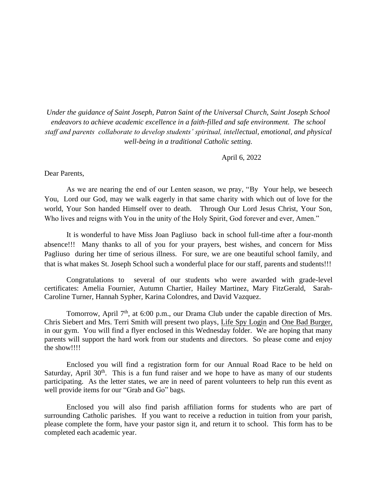*Under the guidance of Saint Joseph, Patron Saint of the Universal Church, Saint Joseph School endeavors to achieve academic excellence in a faith-filled and safe environment. The school staff and parents collaborate to develop students' spiritual, intellectual, emotional, and physical well-being in a traditional Catholic setting.*

April 6, 2022

Dear Parents,

As we are nearing the end of our Lenten season, we pray, "By Your help, we beseech You, Lord our God, may we walk eagerly in that same charity with which out of love for the world, Your Son handed Himself over to death. Through Our Lord Jesus Christ, Your Son, Who lives and reigns with You in the unity of the Holy Spirit, God forever and ever, Amen."

It is wonderful to have Miss Joan Pagliuso back in school full-time after a four-month absence!!! Many thanks to all of you for your prayers, best wishes, and concern for Miss Pagliuso during her time of serious illness. For sure, we are one beautiful school family, and that is what makes St. Joseph School such a wonderful place for our staff, parents and students!!!

Congratulations to several of our students who were awarded with grade-level certificates: Amelia Fournier, Autumn Chartier, Hailey Martinez, Mary FitzGerald, Sarah-Caroline Turner, Hannah Sypher, Karina Colondres, and David Vazquez.

Tomorrow, April  $7<sup>th</sup>$ , at 6:00 p.m., our Drama Club under the capable direction of Mrs. Chris Siebert and Mrs. Terri Smith will present two plays, Life Spy Login and One Bad Burger, in our gym. You will find a flyer enclosed in this Wednesday folder. We are hoping that many parents will support the hard work from our students and directors. So please come and enjoy the show!!!!

Enclosed you will find a registration form for our Annual Road Race to be held on Saturday, April  $30<sup>th</sup>$ . This is a fun fund raiser and we hope to have as many of our students participating. As the letter states, we are in need of parent volunteers to help run this event as well provide items for our "Grab and Go" bags.

Enclosed you will also find parish affiliation forms for students who are part of surrounding Catholic parishes. If you want to receive a reduction in tuition from your parish, please complete the form, have your pastor sign it, and return it to school. This form has to be completed each academic year.